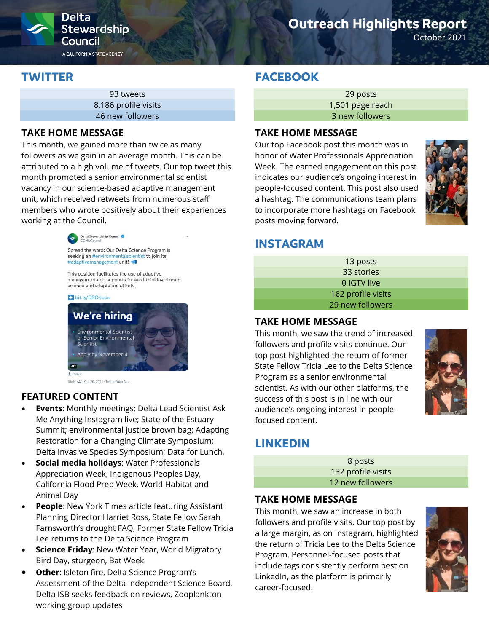

# **Outreach Highlights Report**

October 2021

## **TWITTER**

93 tweets 8,186 profile visits 46 new followers

#### **TAKE HOME MESSAGE**

This month, we gained more than twice as many followers as we gain in an average month. This can be attributed to a high volume of tweets. Our top tweet this month promoted a senior environmental scientist vacancy in our science-based adaptive management unit, which received retweets from numerous staff members who wrote positively about their experiences working at the Council.



Spread the word: Our Delta Science Program is seeking an #environmentalscientist to join its #adaptivemanagement unit!

This position facilitates the use of adaptive management and supports forward-thinking climate science and adaptation efforts.





10:44 AM - Oct 26, 2021 - Twitter Web App

### **FEATURED CONTENT**

- **Events**: Monthly meetings; Delta Lead Scientist Ask Me Anything Instagram live; State of the Estuary Summit; environmental justice brown bag; Adapting Restoration for a Changing Climate Symposium; Delta Invasive Species Symposium; Data for Lunch,
- **Social media holidays**: Water Professionals Appreciation Week, Indigenous Peoples Day, California Flood Prep Week, World Habitat and Animal Day
- **People:** New York Times article featuring Assistant Planning Director Harriet Ross, State Fellow Sarah Farnsworth's drought FAQ, Former State Fellow Tricia Lee returns to the Delta Science Program
- **Science Friday: New Water Year, World Migratory** Bird Day, sturgeon, Bat Week
- **Other: Isleton fire, Delta Science Program's** Assessment of the Delta Independent Science Board, Delta ISB seeks feedback on reviews, Zooplankton working group updates

## **FACEBOOK**

29 posts 1,501 page reach 3 new followers

#### **TAKE HOME MESSAGE**

Our top Facebook post this month was in honor of Water Professionals Appreciation Week. The earned engagement on this post indicates our audience's ongoing interest in people-focused content. This post also used a hashtag. The communications team plans to incorporate more hashtags on Facebook posts moving forward.



### **INSTAGRAM**

| 13 posts           |  |
|--------------------|--|
| 33 stories         |  |
| 0 IGTV live        |  |
| 162 profile visits |  |
| 29 new followers   |  |

#### **TAKE HOME MESSAGE**

This month, we saw the trend of increased followers and profile visits continue. Our top post highlighted the return of former State Fellow Tricia Lee to the Delta Science Program as a senior environmental scientist. As with our other platforms, the success of this post is in line with our audience's ongoing interest in peoplefocused content.



# **LINKEDIN**

8 posts 132 profile visits 12 new followers

### **TAKE HOME MESSAGE**

This month, we saw an increase in both followers and profile visits. Our top post by a large margin, as on Instagram, highlighted the return of Tricia Lee to the Delta Science Program. Personnel-focused posts that include tags consistently perform best on LinkedIn, as the platform is primarily career-focused.